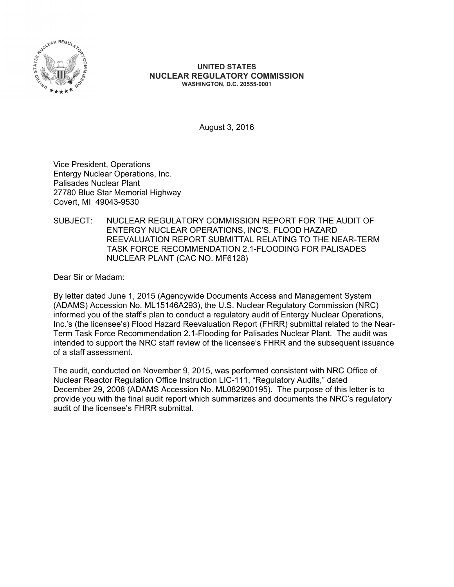

#### **UNITED STATES NUCLEAR REGULATORY COMMISSION WASHINGTON, D.C. 20555-0001**

August 3, 2016

Vice President, Operations Entergy Nuclear Operations, Inc. Palisades Nuclear Plant 27780 Blue Star Memorial Highway Covert, MI 49043-9530

SUBJECT: NUCLEAR REGULATORY COMMISSION REPORT FOR THE AUDIT OF ENTERGY NUCLEAR OPERATIONS, INC'S. FLOOD HAZARD REEVALUATION REPORT SUBMITTAL RELATING TO THE NEAR-TERM TASK FORCE RECOMMENDATION 2.1-FLOODING FOR PALISADES NUCLEAR PLANT (CAC NO. MF6128)

Dear Sir or Madam:

By letter dated June 1, 2015 (Agencywide Documents Access and Management System (ADAMS) Accession No. ML15146A293), the U.S. Nuclear Regulatory Commission (NRC) informed you of the staff's plan to conduct a regulatory audit of Entergy Nuclear Operations, Inc.'s (the licensee's) Flood Hazard Reevaluation Report (FHRR) submittal related to the Near-Term Task Force Recommendation 2.1-Flooding for Palisades Nuclear Plant. The audit was intended to support the NRC staff review of the licensee's FHRR and the subsequent issuance of a staff assessment.

The audit, conducted on November 9, 2015, was performed consistent with NRC Office of Nuclear Reactor Regulation Office Instruction LIC-111, "Regulatory Audits," dated December 29, 2008 (ADAMS Accession No. ML082900195). The purpose of this letter is to provide you with the final audit report which summarizes and documents the NRC's regulatory audit of the licensee's FHRR submittal.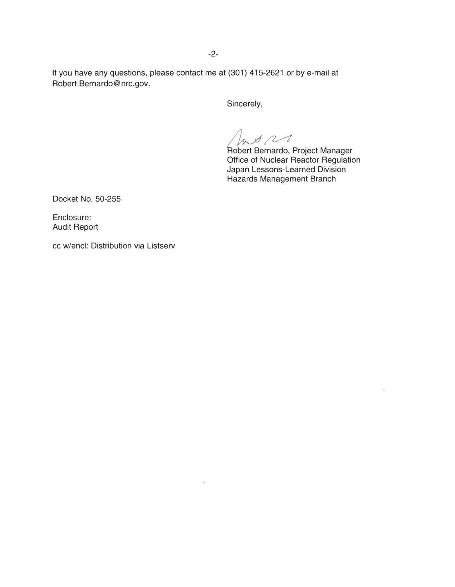If you have any questions, please contact me at (301) 415-2621 or by e-mail at Robert.Bernardo@nrc.gov.

Sincerely,

A<br>The Pernardo, Project Manager<br>Office of Nuclear Reactor Regulation Japan Lessons-Learned Division Hazards Management Branch

Docket No. 50-255

Enclosure: Audit Report

cc w/encl: Distribution via Listserv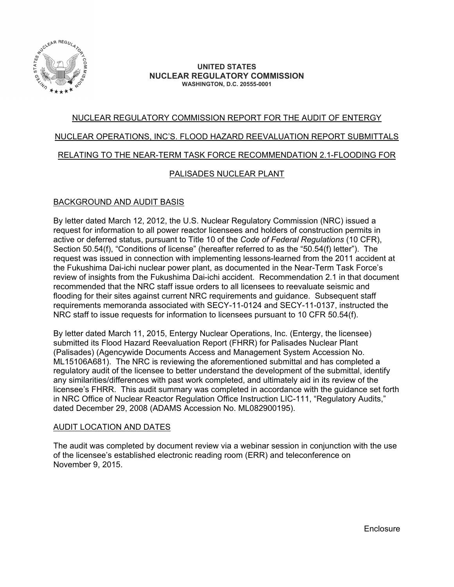

#### **UNITED STATES NUCLEAR REGULATORY COMMISSION WASHINGTON, D.C. 20555-0001**

# NUCLEAR REGULATORY COMMISSION REPORT FOR THE AUDIT OF ENTERGY NUCLEAR OPERATIONS, INC'S. FLOOD HAZARD REEVALUATION REPORT SUBMITTALS RELATING TO THE NEAR-TERM TASK FORCE RECOMMENDATION 2.1-FLOODING FOR

### PALISADES NUCLEAR PLANT

### BACKGROUND AND AUDIT BASIS

By letter dated March 12, 2012, the U.S. Nuclear Regulatory Commission (NRC) issued a request for information to all power reactor licensees and holders of construction permits in active or deferred status, pursuant to Title 10 of the *Code of Federal Regulations* (10 CFR), Section 50.54(f), "Conditions of license" (hereafter referred to as the "50.54(f) letter"). The request was issued in connection with implementing lessons-learned from the 2011 accident at the Fukushima Dai-ichi nuclear power plant, as documented in the Near-Term Task Force's review of insights from the Fukushima Dai-ichi accident. Recommendation 2.1 in that document recommended that the NRC staff issue orders to all licensees to reevaluate seismic and flooding for their sites against current NRC requirements and guidance. Subsequent staff requirements memoranda associated with SECY-11-0124 and SECY-11-0137, instructed the NRC staff to issue requests for information to licensees pursuant to 10 CFR 50.54(f).

By letter dated March 11, 2015, Entergy Nuclear Operations, Inc. (Entergy, the licensee) submitted its Flood Hazard Reevaluation Report (FHRR) for Palisades Nuclear Plant (Palisades) (Agencywide Documents Access and Management System Accession No. ML15106A681). The NRC is reviewing the aforementioned submittal and has completed a regulatory audit of the licensee to better understand the development of the submittal, identify any similarities/differences with past work completed, and ultimately aid in its review of the licensee's FHRR. This audit summary was completed in accordance with the guidance set forth in NRC Office of Nuclear Reactor Regulation Office Instruction LIC-111, "Regulatory Audits," dated December 29, 2008 (ADAMS Accession No. ML082900195).

#### AUDIT LOCATION AND DATES

The audit was completed by document review via a webinar session in conjunction with the use of the licensee's established electronic reading room (ERR) and teleconference on November 9, 2015.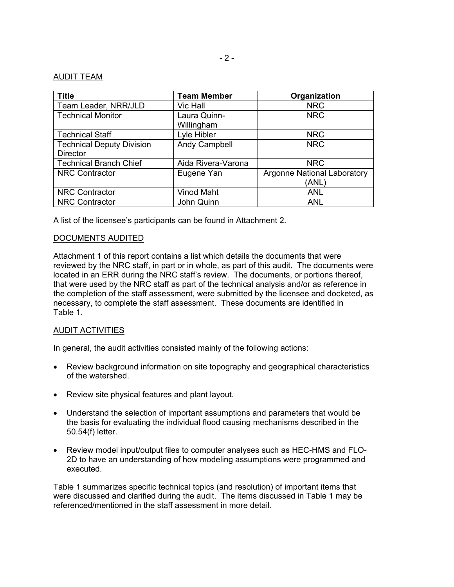#### AUDIT TEAM

| <b>Title</b>                     | <b>Team Member</b> | Organization                       |
|----------------------------------|--------------------|------------------------------------|
| Team Leader, NRR/JLD             | Vic Hall           | <b>NRC</b>                         |
| <b>Technical Monitor</b>         | Laura Quinn-       | <b>NRC</b>                         |
|                                  | Willingham         |                                    |
| <b>Technical Staff</b>           | Lyle Hibler        | <b>NRC</b>                         |
| <b>Technical Deputy Division</b> | Andy Campbell      | <b>NRC</b>                         |
| <b>Director</b>                  |                    |                                    |
| <b>Technical Branch Chief</b>    | Aida Rivera-Varona | <b>NRC</b>                         |
| <b>NRC Contractor</b>            | Eugene Yan         | <b>Argonne National Laboratory</b> |
|                                  |                    | (ANL)                              |
| <b>NRC Contractor</b>            | Vinod Maht         | <b>ANL</b>                         |
| <b>NRC Contractor</b>            | John Quinn         | <b>ANL</b>                         |

A list of the licensee's participants can be found in Attachment 2.

#### DOCUMENTS AUDITED

Attachment 1 of this report contains a list which details the documents that were reviewed by the NRC staff, in part or in whole, as part of this audit. The documents were located in an ERR during the NRC staff's review. The documents, or portions thereof, that were used by the NRC staff as part of the technical analysis and/or as reference in the completion of the staff assessment, were submitted by the licensee and docketed, as necessary, to complete the staff assessment. These documents are identified in Table 1.

#### AUDIT ACTIVITIES

In general, the audit activities consisted mainly of the following actions:

- Review background information on site topography and geographical characteristics of the watershed.
- Review site physical features and plant layout.
- Understand the selection of important assumptions and parameters that would be the basis for evaluating the individual flood causing mechanisms described in the 50.54(f) letter.
- Review model input/output files to computer analyses such as HEC-HMS and FLO-2D to have an understanding of how modeling assumptions were programmed and executed.

Table 1 summarizes specific technical topics (and resolution) of important items that were discussed and clarified during the audit. The items discussed in Table 1 may be referenced/mentioned in the staff assessment in more detail.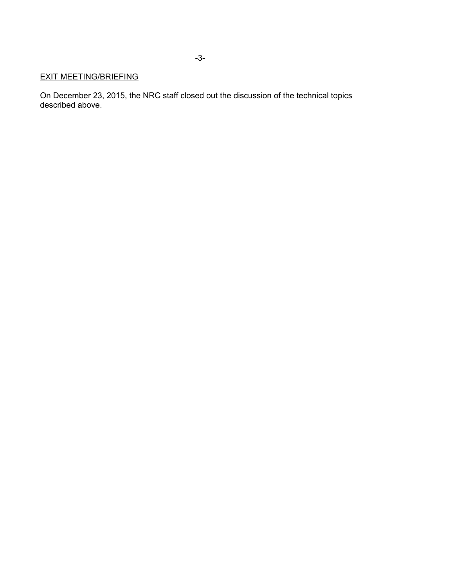## EXIT MEETING/BRIEFING

On December 23, 2015, the NRC staff closed out the discussion of the technical topics described above.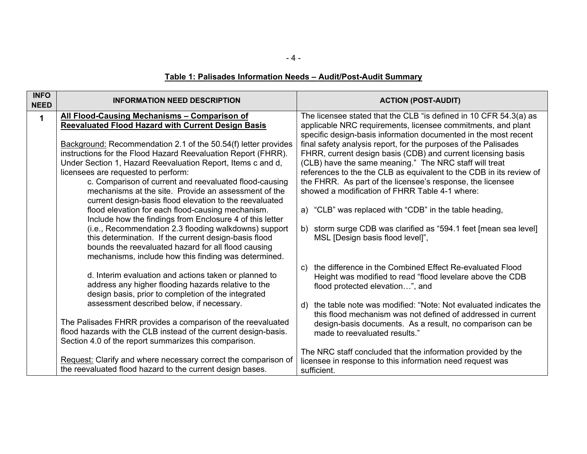- 4 -

# **Table 1: Palisades Information Needs – Audit/Post-Audit Summary**

| <b>INFO</b><br><b>NEED</b> | <b>INFORMATION NEED DESCRIPTION</b>                                                                                                                                                                                                                                                                                                                                                                                | <b>ACTION (POST-AUDIT)</b>                                                                                                                                                                                                                                                                                                                                                       |  |
|----------------------------|--------------------------------------------------------------------------------------------------------------------------------------------------------------------------------------------------------------------------------------------------------------------------------------------------------------------------------------------------------------------------------------------------------------------|----------------------------------------------------------------------------------------------------------------------------------------------------------------------------------------------------------------------------------------------------------------------------------------------------------------------------------------------------------------------------------|--|
| $\mathbf 1$                | All Flood-Causing Mechanisms - Comparison of<br><b>Reevaluated Flood Hazard with Current Design Basis</b>                                                                                                                                                                                                                                                                                                          | The licensee stated that the CLB "is defined in 10 CFR 54.3(a) as<br>applicable NRC requirements, licensee commitments, and plant<br>specific design-basis information documented in the most recent                                                                                                                                                                             |  |
|                            | Background: Recommendation 2.1 of the 50.54(f) letter provides<br>instructions for the Flood Hazard Reevaluation Report (FHRR).<br>Under Section 1, Hazard Reevaluation Report, Items c and d,<br>licensees are requested to perform:<br>c. Comparison of current and reevaluated flood-causing<br>mechanisms at the site. Provide an assessment of the<br>current design-basis flood elevation to the reevaluated | final safety analysis report, for the purposes of the Palisades<br>FHRR, current design basis (CDB) and current licensing basis<br>(CLB) have the same meaning." The NRC staff will treat<br>references to the the CLB as equivalent to the CDB in its review of<br>the FHRR. As part of the licensee's response, the licensee<br>showed a modification of FHRR Table 4-1 where: |  |
|                            | flood elevation for each flood-causing mechanism.<br>Include how the findings from Enclosure 4 of this letter<br>(i.e., Recommendation 2.3 flooding walkdowns) support<br>this determination. If the current design-basis flood<br>bounds the reevaluated hazard for all flood causing<br>mechanisms, include how this finding was determined.                                                                     | a) "CLB" was replaced with "CDB" in the table heading,<br>b) storm surge CDB was clarified as "594.1 feet [mean sea level]<br>MSL [Design basis flood level]",                                                                                                                                                                                                                   |  |
|                            | d. Interim evaluation and actions taken or planned to<br>address any higher flooding hazards relative to the<br>design basis, prior to completion of the integrated                                                                                                                                                                                                                                                | the difference in the Combined Effect Re-evaluated Flood<br>$\mathcal{C}$ )<br>Height was modified to read "flood levelare above the CDB<br>flood protected elevation", and                                                                                                                                                                                                      |  |
|                            | assessment described below, if necessary.<br>The Palisades FHRR provides a comparison of the reevaluated<br>flood hazards with the CLB instead of the current design-basis.<br>Section 4.0 of the report summarizes this comparison.                                                                                                                                                                               | d) the table note was modified: "Note: Not evaluated indicates the<br>this flood mechanism was not defined of addressed in current<br>design-basis documents. As a result, no comparison can be<br>made to reevaluated results."                                                                                                                                                 |  |
|                            | Request: Clarify and where necessary correct the comparison of<br>the reevaluated flood hazard to the current design bases.                                                                                                                                                                                                                                                                                        | The NRC staff concluded that the information provided by the<br>licensee in response to this information need request was<br>sufficient.                                                                                                                                                                                                                                         |  |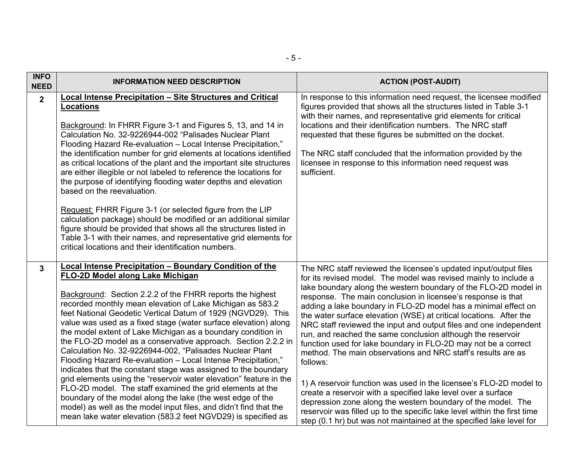| <b>INFO</b><br><b>NEED</b> | <b>INFORMATION NEED DESCRIPTION</b>                                                                                                                                                                                                                                                                                                                                                                                                                                                                                                                                                                                                                                                                                                                                                                                                                                                                                                                                                                                                    | <b>ACTION (POST-AUDIT)</b>                                                                                                                                                                                                                                                                                                                                                                                                                                                                                                                                                                                                                                                                                                                                                                                                                                                                                                                                                                                                                                   |
|----------------------------|----------------------------------------------------------------------------------------------------------------------------------------------------------------------------------------------------------------------------------------------------------------------------------------------------------------------------------------------------------------------------------------------------------------------------------------------------------------------------------------------------------------------------------------------------------------------------------------------------------------------------------------------------------------------------------------------------------------------------------------------------------------------------------------------------------------------------------------------------------------------------------------------------------------------------------------------------------------------------------------------------------------------------------------|--------------------------------------------------------------------------------------------------------------------------------------------------------------------------------------------------------------------------------------------------------------------------------------------------------------------------------------------------------------------------------------------------------------------------------------------------------------------------------------------------------------------------------------------------------------------------------------------------------------------------------------------------------------------------------------------------------------------------------------------------------------------------------------------------------------------------------------------------------------------------------------------------------------------------------------------------------------------------------------------------------------------------------------------------------------|
| $\overline{2}$             | <b>Local Intense Precipitation - Site Structures and Critical</b><br><b>Locations</b><br>Background: In FHRR Figure 3-1 and Figures 5, 13, and 14 in<br>Calculation No. 32-9226944-002 "Palisades Nuclear Plant<br>Flooding Hazard Re-evaluation - Local Intense Precipitation,"<br>the identification number for grid elements at locations identified<br>as critical locations of the plant and the important site structures<br>are either illegible or not labeled to reference the locations for<br>the purpose of identifying flooding water depths and elevation<br>based on the reevaluation.<br>Request: FHRR Figure 3-1 (or selected figure from the LIP<br>calculation package) should be modified or an additional similar<br>figure should be provided that shows all the structures listed in<br>Table 3-1 with their names, and representative grid elements for<br>critical locations and their identification numbers.                                                                                                | In response to this information need request, the licensee modified<br>figures provided that shows all the structures listed in Table 3-1<br>with their names, and representative grid elements for critical<br>locations and their identification numbers. The NRC staff<br>requested that these figures be submitted on the docket.<br>The NRC staff concluded that the information provided by the<br>licensee in response to this information need request was<br>sufficient.                                                                                                                                                                                                                                                                                                                                                                                                                                                                                                                                                                            |
| $\overline{\mathbf{3}}$    | <b>Local Intense Precipitation - Boundary Condition of the</b><br>FLO-2D Model along Lake Michigan<br>Background: Section 2.2.2 of the FHRR reports the highest<br>recorded monthly mean elevation of Lake Michigan as 583.2<br>feet National Geodetic Vertical Datum of 1929 (NGVD29). This<br>value was used as a fixed stage (water surface elevation) along<br>the model extent of Lake Michigan as a boundary condition in<br>the FLO-2D model as a conservative approach. Section 2.2.2 in<br>Calculation No. 32-9226944-002, "Palisades Nuclear Plant<br>Flooding Hazard Re-evaluation - Local Intense Precipitation,"<br>indicates that the constant stage was assigned to the boundary<br>grid elements using the "reservoir water elevation" feature in the<br>FLO-2D model. The staff examined the grid elements at the<br>boundary of the model along the lake (the west edge of the<br>model) as well as the model input files, and didn't find that the<br>mean lake water elevation (583.2 feet NGVD29) is specified as | The NRC staff reviewed the licensee's updated input/output files<br>for its revised model. The model was revised mainly to include a<br>lake boundary along the western boundary of the FLO-2D model in<br>response. The main conclusion in licensee's response is that<br>adding a lake boundary in FLO-2D model has a minimal effect on<br>the water surface elevation (WSE) at critical locations. After the<br>NRC staff reviewed the input and output files and one independent<br>run, and reached the same conclusion although the reservoir<br>function used for lake boundary in FLO-2D may not be a correct<br>method. The main observations and NRC staff's results are as<br>follows:<br>1) A reservoir function was used in the licensee's FLO-2D model to<br>create a reservoir with a specified lake level over a surface<br>depression zone along the western boundary of the model. The<br>reservoir was filled up to the specific lake level within the first time<br>step (0.1 hr) but was not maintained at the specified lake level for |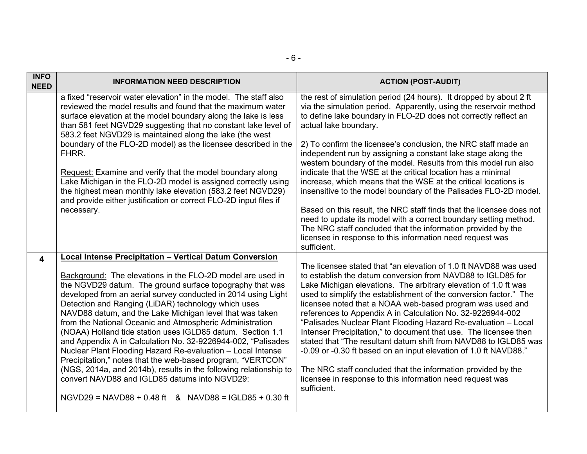| <b>INFO</b><br><b>NEED</b> | <b>INFORMATION NEED DESCRIPTION</b>                                                                                                                                                                                                                                                                                                                                                                                                                                                                                                                                                                                                                                                                                                                                                                                                                                                     | <b>ACTION (POST-AUDIT)</b>                                                                                                                                                                                                                                                                                                                                                                                                                                                                                                                                                                                                                                                                                                                                                                                                                                                                                                              |
|----------------------------|-----------------------------------------------------------------------------------------------------------------------------------------------------------------------------------------------------------------------------------------------------------------------------------------------------------------------------------------------------------------------------------------------------------------------------------------------------------------------------------------------------------------------------------------------------------------------------------------------------------------------------------------------------------------------------------------------------------------------------------------------------------------------------------------------------------------------------------------------------------------------------------------|-----------------------------------------------------------------------------------------------------------------------------------------------------------------------------------------------------------------------------------------------------------------------------------------------------------------------------------------------------------------------------------------------------------------------------------------------------------------------------------------------------------------------------------------------------------------------------------------------------------------------------------------------------------------------------------------------------------------------------------------------------------------------------------------------------------------------------------------------------------------------------------------------------------------------------------------|
|                            | a fixed "reservoir water elevation" in the model. The staff also<br>reviewed the model results and found that the maximum water<br>surface elevation at the model boundary along the lake is less<br>than 581 feet NGVD29 suggesting that no constant lake level of<br>583.2 feet NGVD29 is maintained along the lake (the west<br>boundary of the FLO-2D model) as the licensee described in the<br>FHRR.<br>Request: Examine and verify that the model boundary along<br>Lake Michigan in the FLO-2D model is assigned correctly using<br>the highest mean monthly lake elevation (583.2 feet NGVD29)<br>and provide either justification or correct FLO-2D input files if<br>necessary.                                                                                                                                                                                              | the rest of simulation period (24 hours). It dropped by about 2 ft<br>via the simulation period. Apparently, using the reservoir method<br>to define lake boundary in FLO-2D does not correctly reflect an<br>actual lake boundary.<br>2) To confirm the licensee's conclusion, the NRC staff made an<br>independent run by assigning a constant lake stage along the<br>western boundary of the model. Results from this model run also<br>indicate that the WSE at the critical location has a minimal<br>increase, which means that the WSE at the critical locations is<br>insensitive to the model boundary of the Palisades FLO-2D model.<br>Based on this result, the NRC staff finds that the licensee does not<br>need to update its model with a correct boundary setting method.<br>The NRC staff concluded that the information provided by the<br>licensee in response to this information need request was<br>sufficient. |
| 4                          | <b>Local Intense Precipitation - Vertical Datum Conversion</b><br>Background: The elevations in the FLO-2D model are used in<br>the NGVD29 datum. The ground surface topography that was<br>developed from an aerial survey conducted in 2014 using Light<br>Detection and Ranging (LiDAR) technology which uses<br>NAVD88 datum, and the Lake Michigan level that was taken<br>from the National Oceanic and Atmospheric Administration<br>(NOAA) Holland tide station uses IGLD85 datum. Section 1.1<br>and Appendix A in Calculation No. 32-9226944-002, "Palisades<br>Nuclear Plant Flooding Hazard Re-evaluation - Local Intense<br>Precipitation," notes that the web-based program, "VERTCON"<br>(NGS, 2014a, and 2014b), results in the following relationship to<br>convert NAVD88 and IGLD85 datums into NGVD29:<br>$NGVD29 = NAVD88 + 0.48 ft$ & $NAVD88 = IGLD85 + 0.30 ft$ | The licensee stated that "an elevation of 1.0 ft NAVD88 was used<br>to establish the datum conversion from NAVD88 to IGLD85 for<br>Lake Michigan elevations. The arbitrary elevation of 1.0 ft was<br>used to simplify the establishment of the conversion factor." The<br>licensee noted that a NOAA web-based program was used and<br>references to Appendix A in Calculation No. 32-9226944-002<br>"Palisades Nuclear Plant Flooding Hazard Re-evaluation - Local<br>Intenser Precipitation," to document that use. The licensee then<br>stated that "The resultant datum shift from NAVD88 to IGLD85 was<br>-0.09 or -0.30 ft based on an input elevation of 1.0 ft NAVD88."<br>The NRC staff concluded that the information provided by the<br>licensee in response to this information need request was<br>sufficient.                                                                                                            |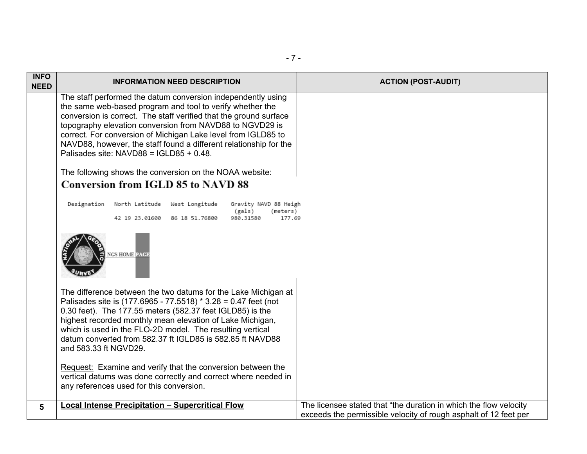| <b>INFO</b> | <b>INFORMATION NEED DESCRIPTION</b>                                                                                                                                                                                                                                                                                                                                                                                                                                                                                                                 | <b>ACTION (POST-AUDIT)</b>                                                                                                            |
|-------------|-----------------------------------------------------------------------------------------------------------------------------------------------------------------------------------------------------------------------------------------------------------------------------------------------------------------------------------------------------------------------------------------------------------------------------------------------------------------------------------------------------------------------------------------------------|---------------------------------------------------------------------------------------------------------------------------------------|
| <b>NEED</b> | The staff performed the datum conversion independently using<br>the same web-based program and tool to verify whether the<br>conversion is correct. The staff verified that the ground surface<br>topography elevation conversion from NAVD88 to NGVD29 is<br>correct. For conversion of Michigan Lake level from IGLD85 to<br>NAVD88, however, the staff found a different relationship for the<br>Palisades site: NAVD88 = IGLD85 + 0.48.<br>The following shows the conversion on the NOAA website:<br><b>Conversion from IGLD 85 to NAVD 88</b> |                                                                                                                                       |
|             | Designation North Latitude West Longitude<br>Gravity NAVD 88 Heigh<br>(gals)<br>(meters)<br>42 19 23.01600 86 18 51.76800<br>980.31580<br>177.69                                                                                                                                                                                                                                                                                                                                                                                                    |                                                                                                                                       |
|             | NGS HOME PAGE                                                                                                                                                                                                                                                                                                                                                                                                                                                                                                                                       |                                                                                                                                       |
|             | The difference between the two datums for the Lake Michigan at<br>Palisades site is (177.6965 - 77.5518) * 3.28 = 0.47 feet (not<br>0.30 feet). The 177.55 meters (582.37 feet IGLD85) is the<br>highest recorded monthly mean elevation of Lake Michigan,<br>which is used in the FLO-2D model. The resulting vertical<br>datum converted from 582.37 ft IGLD85 is 582.85 ft NAVD88<br>and 583.33 ft NGVD29.                                                                                                                                       |                                                                                                                                       |
|             | Request: Examine and verify that the conversion between the<br>vertical datums was done correctly and correct where needed in<br>any references used for this conversion.                                                                                                                                                                                                                                                                                                                                                                           |                                                                                                                                       |
| 5           | <b>Local Intense Precipitation - Supercritical Flow</b>                                                                                                                                                                                                                                                                                                                                                                                                                                                                                             | The licensee stated that "the duration in which the flow velocity<br>exceeds the permissible velocity of rough asphalt of 12 feet per |

- 7 -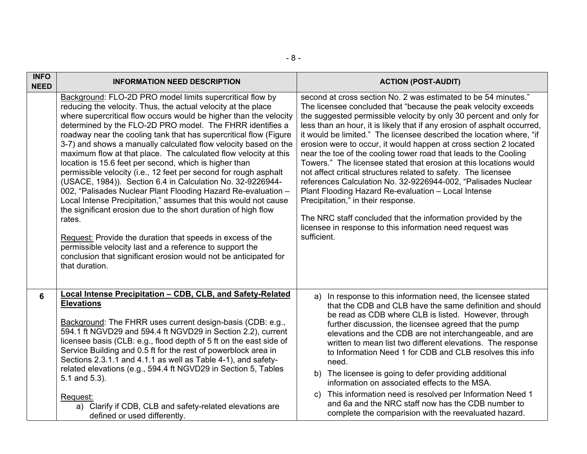| <b>INFO</b><br><b>NEED</b> | <b>INFORMATION NEED DESCRIPTION</b>                                                                                                                                                                                                                                                                                                                                                                                                                                                                                                                                                                                                                                                                                                                                                                                                                                                                                                                                                                                                                                                                  | <b>ACTION (POST-AUDIT)</b>                                                                                                                                                                                                                                                                                                                                                                                                                                                                                                                                                                                                                                                                                                                                                                                                                                                                                                                           |  |
|----------------------------|------------------------------------------------------------------------------------------------------------------------------------------------------------------------------------------------------------------------------------------------------------------------------------------------------------------------------------------------------------------------------------------------------------------------------------------------------------------------------------------------------------------------------------------------------------------------------------------------------------------------------------------------------------------------------------------------------------------------------------------------------------------------------------------------------------------------------------------------------------------------------------------------------------------------------------------------------------------------------------------------------------------------------------------------------------------------------------------------------|------------------------------------------------------------------------------------------------------------------------------------------------------------------------------------------------------------------------------------------------------------------------------------------------------------------------------------------------------------------------------------------------------------------------------------------------------------------------------------------------------------------------------------------------------------------------------------------------------------------------------------------------------------------------------------------------------------------------------------------------------------------------------------------------------------------------------------------------------------------------------------------------------------------------------------------------------|--|
|                            | Background: FLO-2D PRO model limits supercritical flow by<br>reducing the velocity. Thus, the actual velocity at the place<br>where supercritical flow occurs would be higher than the velocity<br>determined by the FLO-2D PRO model. The FHRR identifies a<br>roadway near the cooling tank that has supercritical flow (Figure<br>3-7) and shows a manually calculated flow velocity based on the<br>maximum flow at that place. The calculated flow velocity at this<br>location is 15.6 feet per second, which is higher than<br>permissible velocity (i.e., 12 feet per second for rough asphalt<br>(USACE, 1984)). Section 6.4 in Calculation No. 32-9226944-<br>002, "Palisades Nuclear Plant Flooding Hazard Re-evaluation -<br>Local Intense Precipitation," assumes that this would not cause<br>the significant erosion due to the short duration of high flow<br>rates.<br>Request: Provide the duration that speeds in excess of the<br>permissible velocity last and a reference to support the<br>conclusion that significant erosion would not be anticipated for<br>that duration. | second at cross section No. 2 was estimated to be 54 minutes."<br>The licensee concluded that "because the peak velocity exceeds<br>the suggested permissible velocity by only 30 percent and only for<br>less than an hour, it is likely that if any erosion of asphalt occurred,<br>it would be limited." The licensee described the location where, "if<br>erosion were to occur, it would happen at cross section 2 located<br>near the toe of the cooling tower road that leads to the Cooling<br>Towers." The licensee stated that erosion at this locations would<br>not affect critical structures related to safety. The licensee<br>references Calculation No. 32-9226944-002, "Palisades Nuclear<br>Plant Flooding Hazard Re-evaluation - Local Intense<br>Precipitation," in their response.<br>The NRC staff concluded that the information provided by the<br>licensee in response to this information need request was<br>sufficient. |  |
| 6                          | Local Intense Precipitation - CDB, CLB, and Safety-Related<br><b>Elevations</b><br>Background: The FHRR uses current design-basis (CDB: e.g.,<br>594.1 ft NGVD29 and 594.4 ft NGVD29 in Section 2.2), current<br>licensee basis (CLB: e.g., flood depth of 5 ft on the east side of<br>Service Building and 0.5 ft for the rest of powerblock area in<br>Sections 2.3.1.1 and 4.1.1 as well as Table 4-1), and safety-<br>related elevations (e.g., 594.4 ft NGVD29 in Section 5, Tables<br>5.1 and 5.3).<br>Request:<br>a) Clarify if CDB, CLB and safety-related elevations are<br>defined or used differently.                                                                                                                                                                                                                                                                                                                                                                                                                                                                                    | a) In response to this information need, the licensee stated<br>that the CDB and CLB have the same definition and should<br>be read as CDB where CLB is listed. However, through<br>further discussion, the licensee agreed that the pump<br>elevations and the CDB are not interchangeable, and are<br>written to mean list two different elevations. The response<br>to Information Need 1 for CDB and CLB resolves this info<br>need.<br>b) The licensee is going to defer providing additional<br>information on associated effects to the MSA.<br>This information need is resolved per Information Need 1<br>C)<br>and 6a and the NRC staff now has the CDB number to<br>complete the comparision with the reevaluated hazard.                                                                                                                                                                                                                 |  |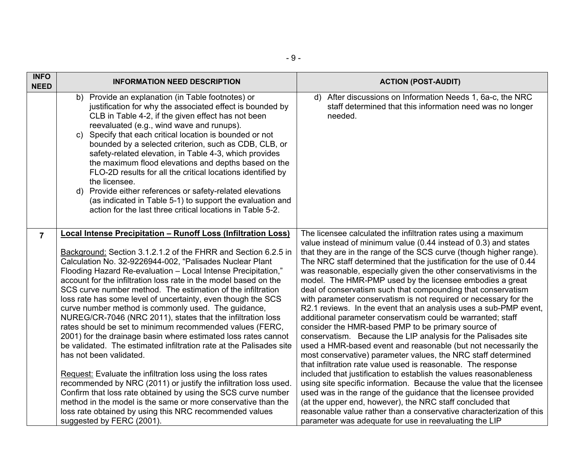| <b>INFO</b><br><b>NEED</b>                                                                                                                                                                                                                                                                                                                                                                                                                                                                                                                                                                                                                                                                                                                       | <b>INFORMATION NEED DESCRIPTION</b>                                                                                                                                                                                                                                                                                                                                                                                                                                                                                                                                                                                                                                                                                                                                                                                                                                                                                                                                                                                                                                                                                                                                                 | <b>ACTION (POST-AUDIT)</b>                                                                                                                                                                                                                                                                                                                                                                                                                                                                                                                                                                                                                                                                                                                                                                                                                                                                                                                                                                                                                                                                                                                                                                                                                                                                                                                                                                                                          |  |
|--------------------------------------------------------------------------------------------------------------------------------------------------------------------------------------------------------------------------------------------------------------------------------------------------------------------------------------------------------------------------------------------------------------------------------------------------------------------------------------------------------------------------------------------------------------------------------------------------------------------------------------------------------------------------------------------------------------------------------------------------|-------------------------------------------------------------------------------------------------------------------------------------------------------------------------------------------------------------------------------------------------------------------------------------------------------------------------------------------------------------------------------------------------------------------------------------------------------------------------------------------------------------------------------------------------------------------------------------------------------------------------------------------------------------------------------------------------------------------------------------------------------------------------------------------------------------------------------------------------------------------------------------------------------------------------------------------------------------------------------------------------------------------------------------------------------------------------------------------------------------------------------------------------------------------------------------|-------------------------------------------------------------------------------------------------------------------------------------------------------------------------------------------------------------------------------------------------------------------------------------------------------------------------------------------------------------------------------------------------------------------------------------------------------------------------------------------------------------------------------------------------------------------------------------------------------------------------------------------------------------------------------------------------------------------------------------------------------------------------------------------------------------------------------------------------------------------------------------------------------------------------------------------------------------------------------------------------------------------------------------------------------------------------------------------------------------------------------------------------------------------------------------------------------------------------------------------------------------------------------------------------------------------------------------------------------------------------------------------------------------------------------------|--|
| b) Provide an explanation (in Table footnotes) or<br>justification for why the associated effect is bounded by<br>CLB in Table 4-2, if the given effect has not been<br>reevaluated (e.g., wind wave and runups).<br>Specify that each critical location is bounded or not<br>$\mathsf{C}$<br>bounded by a selected criterion, such as CDB, CLB, or<br>safety-related elevation, in Table 4-3, which provides<br>the maximum flood elevations and depths based on the<br>FLO-2D results for all the critical locations identified by<br>the licensee.<br>Provide either references or safety-related elevations<br>d)<br>(as indicated in Table 5-1) to support the evaluation and<br>action for the last three critical locations in Table 5-2. |                                                                                                                                                                                                                                                                                                                                                                                                                                                                                                                                                                                                                                                                                                                                                                                                                                                                                                                                                                                                                                                                                                                                                                                     | d) After discussions on Information Needs 1, 6a-c, the NRC<br>staff determined that this information need was no longer<br>needed.                                                                                                                                                                                                                                                                                                                                                                                                                                                                                                                                                                                                                                                                                                                                                                                                                                                                                                                                                                                                                                                                                                                                                                                                                                                                                                  |  |
| $\overline{7}$                                                                                                                                                                                                                                                                                                                                                                                                                                                                                                                                                                                                                                                                                                                                   | Local Intense Precipitation - Runoff Loss (Infiltration Loss)<br>Background: Section 3.1.2.1.2 of the FHRR and Section 6.2.5 in<br>Calculation No. 32-9226944-002, "Palisades Nuclear Plant<br>Flooding Hazard Re-evaluation - Local Intense Precipitation,"<br>account for the infiltration loss rate in the model based on the<br>SCS curve number method. The estimation of the infiltration<br>loss rate has some level of uncertainty, even though the SCS<br>curve number method is commonly used. The guidance,<br>NUREG/CR-7046 (NRC 2011), states that the infiltration loss<br>rates should be set to minimum recommended values (FERC,<br>2001) for the drainage basin where estimated loss rates cannot<br>be validated. The estimated infiltration rate at the Palisades site<br>has not been validated.<br>Request: Evaluate the infiltration loss using the loss rates<br>recommended by NRC (2011) or justify the infiltration loss used.<br>Confirm that loss rate obtained by using the SCS curve number<br>method in the model is the same or more conservative than the<br>loss rate obtained by using this NRC recommended values<br>suggested by FERC (2001). | The licensee calculated the infiltration rates using a maximum<br>value instead of minimum value (0.44 instead of 0.3) and states<br>that they are in the range of the SCS curve (though higher range).<br>The NRC staff determined that the justification for the use of 0.44<br>was reasonable, especially given the other conservativisms in the<br>model. The HMR-PMP used by the licensee embodies a great<br>deal of conservatism such that compounding that conservatism<br>with parameter conservatism is not required or necessary for the<br>R2.1 reviews. In the event that an analysis uses a sub-PMP event,<br>additional parameter conservatism could be warranted; staff<br>consider the HMR-based PMP to be primary source of<br>conservatism. Because the LIP analysis for the Palisades site<br>used a HMR-based event and reasonable (but not necessarily the<br>most conservative) parameter values, the NRC staff determined<br>that infiltration rate value used is reasonable. The response<br>included that justification to establish the values reasonableness<br>using site specific information. Because the value that the licensee<br>used was in the range of the guidance that the licensee provided<br>(at the upper end, however), the NRC staff concluded that<br>reasonable value rather than a conservative characterization of this<br>parameter was adequate for use in reevaluating the LIP |  |

 $\mathbf{I}$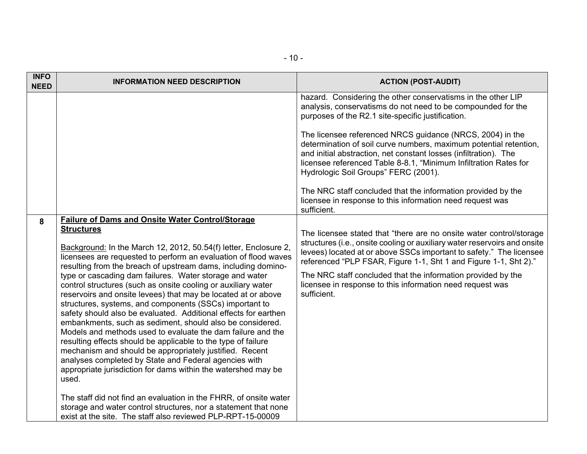| <b>INFO</b><br><b>NEED</b> | <b>INFORMATION NEED DESCRIPTION</b>                                                                                                                                                                                                                                                                                                                                                                                                                                                                                                                                                                                                                                                                                                                                                                                                                                                                                                                                                                        | <b>ACTION (POST-AUDIT)</b>                                                                                                                                                                                                                                                                                                                                                                                                              |
|----------------------------|------------------------------------------------------------------------------------------------------------------------------------------------------------------------------------------------------------------------------------------------------------------------------------------------------------------------------------------------------------------------------------------------------------------------------------------------------------------------------------------------------------------------------------------------------------------------------------------------------------------------------------------------------------------------------------------------------------------------------------------------------------------------------------------------------------------------------------------------------------------------------------------------------------------------------------------------------------------------------------------------------------|-----------------------------------------------------------------------------------------------------------------------------------------------------------------------------------------------------------------------------------------------------------------------------------------------------------------------------------------------------------------------------------------------------------------------------------------|
|                            |                                                                                                                                                                                                                                                                                                                                                                                                                                                                                                                                                                                                                                                                                                                                                                                                                                                                                                                                                                                                            | hazard. Considering the other conservatisms in the other LIP<br>analysis, conservatisms do not need to be compounded for the<br>purposes of the R2.1 site-specific justification.                                                                                                                                                                                                                                                       |
|                            |                                                                                                                                                                                                                                                                                                                                                                                                                                                                                                                                                                                                                                                                                                                                                                                                                                                                                                                                                                                                            | The licensee referenced NRCS guidance (NRCS, 2004) in the<br>determination of soil curve numbers, maximum potential retention,<br>and initial abstraction, net constant losses (infiltration). The<br>licensee referenced Table 8-8.1, "Minimum Infiltration Rates for<br>Hydrologic Soil Groups" FERC (2001).                                                                                                                          |
|                            |                                                                                                                                                                                                                                                                                                                                                                                                                                                                                                                                                                                                                                                                                                                                                                                                                                                                                                                                                                                                            | The NRC staff concluded that the information provided by the<br>licensee in response to this information need request was<br>sufficient.                                                                                                                                                                                                                                                                                                |
| 8                          | <b>Failure of Dams and Onsite Water Control/Storage</b><br><b>Structures</b><br>Background: In the March 12, 2012, 50.54(f) letter, Enclosure 2,<br>licensees are requested to perform an evaluation of flood waves<br>resulting from the breach of upstream dams, including domino-<br>type or cascading dam failures. Water storage and water<br>control structures (such as onsite cooling or auxiliary water<br>reservoirs and onsite levees) that may be located at or above<br>structures, systems, and components (SSCs) important to<br>safety should also be evaluated. Additional effects for earthen<br>embankments, such as sediment, should also be considered.<br>Models and methods used to evaluate the dam failure and the<br>resulting effects should be applicable to the type of failure<br>mechanism and should be appropriately justified. Recent<br>analyses completed by State and Federal agencies with<br>appropriate jurisdiction for dams within the watershed may be<br>used. | The licensee stated that "there are no onsite water control/storage<br>structures (i.e., onsite cooling or auxiliary water reservoirs and onsite<br>levees) located at or above SSCs important to safety." The licensee<br>referenced "PLP FSAR, Figure 1-1, Sht 1 and Figure 1-1, Sht 2)."<br>The NRC staff concluded that the information provided by the<br>licensee in response to this information need request was<br>sufficient. |
|                            | The staff did not find an evaluation in the FHRR, of onsite water<br>storage and water control structures, nor a statement that none<br>exist at the site. The staff also reviewed PLP-RPT-15-00009                                                                                                                                                                                                                                                                                                                                                                                                                                                                                                                                                                                                                                                                                                                                                                                                        |                                                                                                                                                                                                                                                                                                                                                                                                                                         |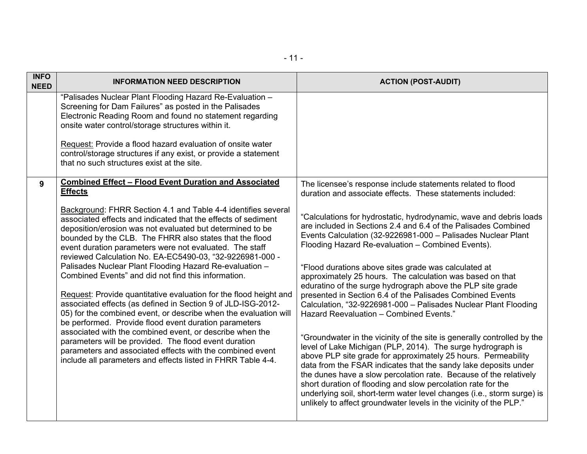| <b>INFO</b><br><b>NEED</b> | <b>INFORMATION NEED DESCRIPTION</b>                                                                                                                                                                                                                                                                                                                                                                                                                                                                                                                                                                                                                                                                                                                                                                                                                                                                                                                                                                                                                                                                          | <b>ACTION (POST-AUDIT)</b>                                                                                                                                                                                                                                                                                                                                                                                                                                                                                                                                                                                                                                                                                                                                                                                                                                                                                                                                                                                                                                                                                                                                                                                                                                                                                              |
|----------------------------|--------------------------------------------------------------------------------------------------------------------------------------------------------------------------------------------------------------------------------------------------------------------------------------------------------------------------------------------------------------------------------------------------------------------------------------------------------------------------------------------------------------------------------------------------------------------------------------------------------------------------------------------------------------------------------------------------------------------------------------------------------------------------------------------------------------------------------------------------------------------------------------------------------------------------------------------------------------------------------------------------------------------------------------------------------------------------------------------------------------|-------------------------------------------------------------------------------------------------------------------------------------------------------------------------------------------------------------------------------------------------------------------------------------------------------------------------------------------------------------------------------------------------------------------------------------------------------------------------------------------------------------------------------------------------------------------------------------------------------------------------------------------------------------------------------------------------------------------------------------------------------------------------------------------------------------------------------------------------------------------------------------------------------------------------------------------------------------------------------------------------------------------------------------------------------------------------------------------------------------------------------------------------------------------------------------------------------------------------------------------------------------------------------------------------------------------------|
|                            | "Palisades Nuclear Plant Flooding Hazard Re-Evaluation -<br>Screening for Dam Failures" as posted in the Palisades<br>Electronic Reading Room and found no statement regarding<br>onsite water control/storage structures within it.<br>Request: Provide a flood hazard evaluation of onsite water<br>control/storage structures if any exist, or provide a statement<br>that no such structures exist at the site.                                                                                                                                                                                                                                                                                                                                                                                                                                                                                                                                                                                                                                                                                          |                                                                                                                                                                                                                                                                                                                                                                                                                                                                                                                                                                                                                                                                                                                                                                                                                                                                                                                                                                                                                                                                                                                                                                                                                                                                                                                         |
| 9                          | <b>Combined Effect - Flood Event Duration and Associated</b><br><b>Effects</b><br><b>Background: FHRR Section 4.1 and Table 4-4 identifies several</b><br>associated effects and indicated that the effects of sediment<br>deposition/erosion was not evaluated but determined to be<br>bounded by the CLB. The FHRR also states that the flood<br>event duration parameters were not evaluated. The staff<br>reviewed Calculation No. EA-EC5490-03, "32-9226981-000 -<br>Palisades Nuclear Plant Flooding Hazard Re-evaluation -<br>Combined Events" and did not find this information.<br>Request: Provide quantitative evaluation for the flood height and<br>associated effects (as defined in Section 9 of JLD-ISG-2012-<br>05) for the combined event, or describe when the evaluation will<br>be performed. Provide flood event duration parameters<br>associated with the combined event, or describe when the<br>parameters will be provided. The flood event duration<br>parameters and associated effects with the combined event<br>include all parameters and effects listed in FHRR Table 4-4. | The licensee's response include statements related to flood<br>duration and associate effects. These statements included:<br>"Calculations for hydrostatic, hydrodynamic, wave and debris loads<br>are included in Sections 2.4 and 6.4 of the Palisades Combined<br>Events Calculation (32-9226981-000 - Palisades Nuclear Plant<br>Flooding Hazard Re-evaluation - Combined Events).<br>"Flood durations above sites grade was calculated at<br>approximately 25 hours. The calculation was based on that<br>eduratino of the surge hydrograph above the PLP site grade<br>presented in Section 6.4 of the Palisades Combined Events<br>Calculation, "32-9226981-000 - Palisades Nuclear Plant Flooding<br>Hazard Reevaluation - Combined Events."<br>"Groundwater in the vicinity of the site is generally controlled by the<br>level of Lake Michigan (PLP, 2014). The surge hydrograph is<br>above PLP site grade for approximately 25 hours. Permeability<br>data from the FSAR indicates that the sandy lake deposits under<br>the dunes have a slow percolation rate. Because of the relatively<br>short duration of flooding and slow percolation rate for the<br>underlying soil, short-term water level changes (i.e., storm surge) is<br>unlikely to affect groundwater levels in the vicinity of the PLP." |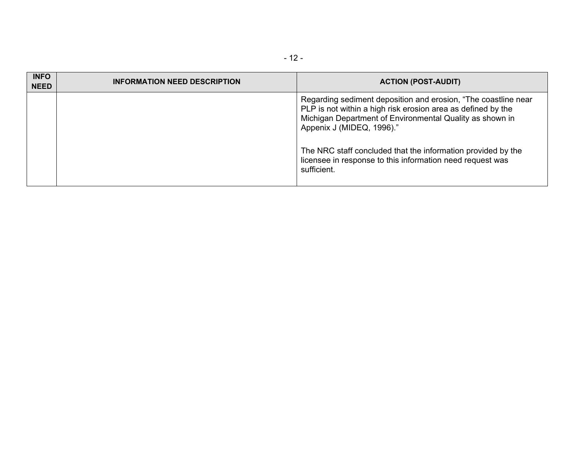| <b>INFO</b><br><b>NEED</b> | <b>INFORMATION NEED DESCRIPTION</b> | <b>ACTION (POST-AUDIT)</b>                                                                                                                                                                                              |
|----------------------------|-------------------------------------|-------------------------------------------------------------------------------------------------------------------------------------------------------------------------------------------------------------------------|
|                            |                                     | Regarding sediment deposition and erosion, "The coastline near<br>PLP is not within a high risk erosion area as defined by the<br>Michigan Department of Environmental Quality as shown in<br>Appenix J (MIDEQ, 1996)." |
|                            |                                     | The NRC staff concluded that the information provided by the<br>licensee in response to this information need request was<br>sufficient.                                                                                |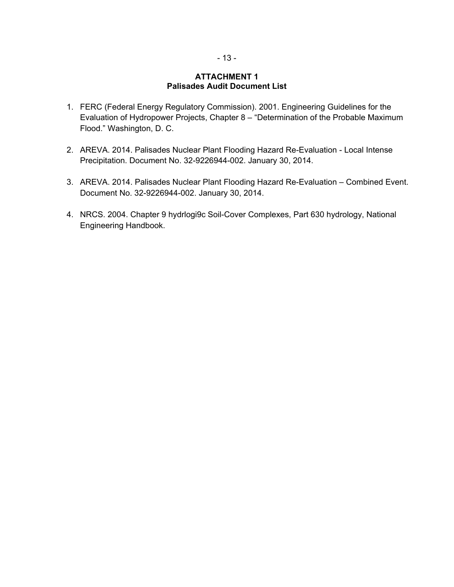#### **ATTACHMENT 1 Palisades Audit Document List**

- 1. FERC (Federal Energy Regulatory Commission). 2001. Engineering Guidelines for the Evaluation of Hydropower Projects, Chapter 8 – "Determination of the Probable Maximum Flood." Washington, D. C.
- 2. AREVA. 2014. Palisades Nuclear Plant Flooding Hazard Re-Evaluation Local Intense Precipitation. Document No. 32-9226944-002. January 30, 2014.
- 3. AREVA. 2014. Palisades Nuclear Plant Flooding Hazard Re-Evaluation Combined Event. Document No. 32-9226944-002. January 30, 2014.
- 4. NRCS. 2004. Chapter 9 hydrlogi9c Soil-Cover Complexes, Part 630 hydrology, National Engineering Handbook.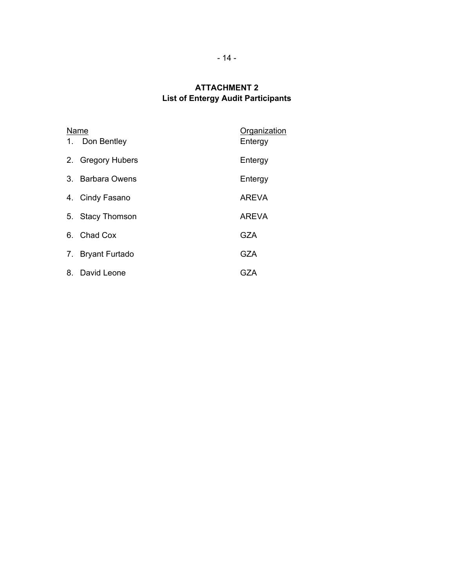# **ATTACHMENT 2 List of Entergy Audit Participants**

| 1. | Name<br>Don Bentley   | Organization<br>Entergy |
|----|-----------------------|-------------------------|
|    | 2. Gregory Hubers     | Entergy                 |
|    | 3. Barbara Owens      | Entergy                 |
|    | 4. Cindy Fasano       | <b>AREVA</b>            |
|    | 5. Stacy Thomson      | <b>AREVA</b>            |
|    | 6. Chad Cox           | GZA                     |
| 7. | <b>Bryant Furtado</b> | <b>GZA</b>              |
|    | 8. David Leone        | GZA                     |